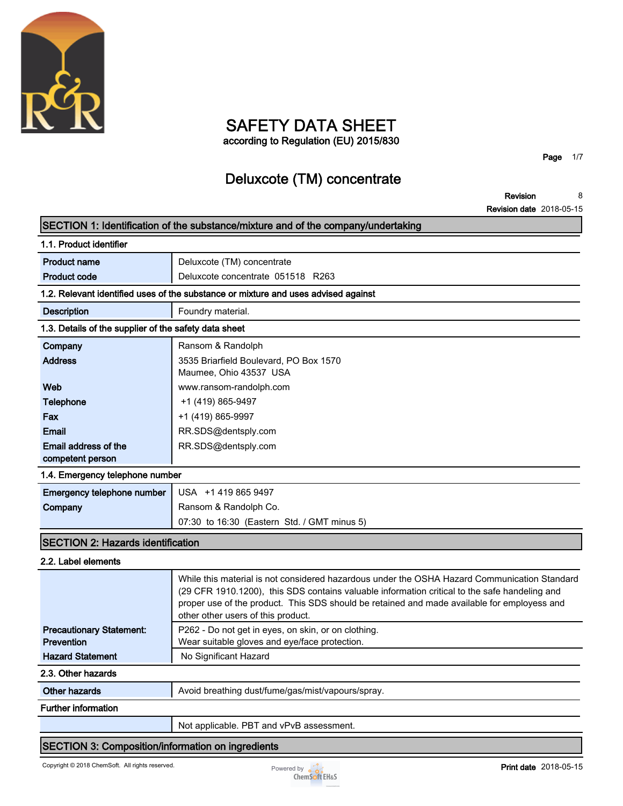

# **SAFETY DATA SHEET**

**according to Regulation (EU) 2015/830**

**Page 1/7**

# **Deluxcote (TM) concentrate**

**Revision 8**

**Revision date 2018-05-15**

|                                                       | SECTION 1: Identification of the substance/mixture and of the company/undertaking                                                                                                                                                                                                                                                  |
|-------------------------------------------------------|------------------------------------------------------------------------------------------------------------------------------------------------------------------------------------------------------------------------------------------------------------------------------------------------------------------------------------|
| 1.1. Product identifier                               |                                                                                                                                                                                                                                                                                                                                    |
| <b>Product name</b>                                   | Deluxcote (TM) concentrate                                                                                                                                                                                                                                                                                                         |
| <b>Product code</b>                                   | Deluxcote concentrate 051518 R263                                                                                                                                                                                                                                                                                                  |
|                                                       | 1.2. Relevant identified uses of the substance or mixture and uses advised against                                                                                                                                                                                                                                                 |
| <b>Description</b>                                    | Foundry material.                                                                                                                                                                                                                                                                                                                  |
| 1.3. Details of the supplier of the safety data sheet |                                                                                                                                                                                                                                                                                                                                    |
| Company                                               | Ransom & Randolph                                                                                                                                                                                                                                                                                                                  |
| <b>Address</b>                                        | 3535 Briarfield Boulevard, PO Box 1570<br>Maumee, Ohio 43537 USA                                                                                                                                                                                                                                                                   |
| Web                                                   | www.ransom-randolph.com                                                                                                                                                                                                                                                                                                            |
| <b>Telephone</b>                                      | +1 (419) 865-9497                                                                                                                                                                                                                                                                                                                  |
| Fax                                                   | +1 (419) 865-9997                                                                                                                                                                                                                                                                                                                  |
| Email                                                 | RR.SDS@dentsply.com                                                                                                                                                                                                                                                                                                                |
| <b>Email address of the</b><br>competent person       | RR.SDS@dentsply.com                                                                                                                                                                                                                                                                                                                |
| 1.4. Emergency telephone number                       |                                                                                                                                                                                                                                                                                                                                    |
| Emergency telephone number                            | USA +1 419 865 9497                                                                                                                                                                                                                                                                                                                |
| Company                                               | Ransom & Randolph Co.                                                                                                                                                                                                                                                                                                              |
|                                                       | 07:30 to 16:30 (Eastern Std. / GMT minus 5)                                                                                                                                                                                                                                                                                        |
| <b>SECTION 2: Hazards identification</b>              |                                                                                                                                                                                                                                                                                                                                    |
| 2.2. Label elements                                   |                                                                                                                                                                                                                                                                                                                                    |
|                                                       | While this material is not considered hazardous under the OSHA Hazard Communication Standard<br>(29 CFR 1910.1200), this SDS contains valuable information critical to the safe handeling and<br>proper use of the product. This SDS should be retained and made available for employess and<br>other other users of this product. |
| <b>Precautionary Statement:</b>                       | P262 - Do not get in eyes, on skin, or on clothing.                                                                                                                                                                                                                                                                                |
| <b>Prevention</b>                                     | Wear suitable gloves and eye/face protection.                                                                                                                                                                                                                                                                                      |
| <b>Hazard Statement</b>                               | No Significant Hazard                                                                                                                                                                                                                                                                                                              |
| 2.3. Other hazards                                    |                                                                                                                                                                                                                                                                                                                                    |
| <b>Other hazards</b>                                  | Avoid breathing dust/fume/gas/mist/vapours/spray.                                                                                                                                                                                                                                                                                  |
| <b>Further information</b>                            |                                                                                                                                                                                                                                                                                                                                    |
|                                                       | Not applicable. PBT and vPvB assessment.                                                                                                                                                                                                                                                                                           |
| SECTION 3: Composition/information on ingredients     |                                                                                                                                                                                                                                                                                                                                    |

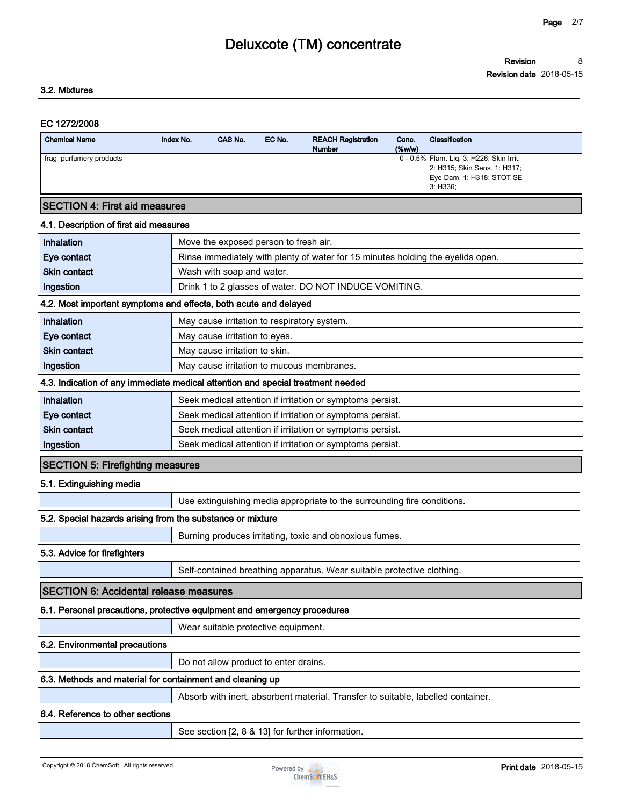#### **Revision 8**

**Revision date 2018-05-15**

### **3.2. Mixtures**

### **EC 1272/2008**

| <b>Chemical Name</b>    | Index No. | CAS No. | EC No. | <b>REACH Registration</b><br><b>Number</b> | Conc.<br>(% | Classification                                                                                                    |
|-------------------------|-----------|---------|--------|--------------------------------------------|-------------|-------------------------------------------------------------------------------------------------------------------|
| frag purfumery products |           |         |        |                                            |             | 0 - 0.5% Flam. Lig. 3: H226; Skin Irrit.<br>2: H315; Skin Sens. 1: H317;<br>Eye Dam. 1: H318; STOT SE<br>3: H336: |

### **SECTION 4: First aid measures 4.1. Description of first aid measures**

| 7. 1. Description or mot ald measured                      |                                                                                  |
|------------------------------------------------------------|----------------------------------------------------------------------------------|
| Inhalation                                                 | Move the exposed person to fresh air.                                            |
| Eye contact                                                | Rinse immediately with plenty of water for 15 minutes holding the eyelids open.  |
| <b>Skin contact</b>                                        | Wash with soap and water.                                                        |
| Ingestion                                                  | Drink 1 to 2 glasses of water. DO NOT INDUCE VOMITING.                           |
|                                                            | 4.2. Most important symptoms and effects, both acute and delayed                 |
| <b>Inhalation</b>                                          | May cause irritation to respiratory system.                                      |
| Eye contact                                                | May cause irritation to eyes.                                                    |
| <b>Skin contact</b>                                        | May cause irritation to skin.                                                    |
| Ingestion                                                  | May cause irritation to mucous membranes.                                        |
|                                                            | 4.3. Indication of any immediate medical attention and special treatment needed  |
| Inhalation                                                 | Seek medical attention if irritation or symptoms persist.                        |
| Eye contact                                                | Seek medical attention if irritation or symptoms persist.                        |
| <b>Skin contact</b>                                        | Seek medical attention if irritation or symptoms persist.                        |
| Ingestion                                                  | Seek medical attention if irritation or symptoms persist.                        |
| <b>SECTION 5: Firefighting measures</b>                    |                                                                                  |
| 5.1. Extinguishing media                                   |                                                                                  |
|                                                            | Use extinguishing media appropriate to the surrounding fire conditions.          |
| 5.2. Special hazards arising from the substance or mixture |                                                                                  |
|                                                            | Burning produces irritating, toxic and obnoxious fumes.                          |
| 5.3. Advice for firefighters                               |                                                                                  |
|                                                            | Self-contained breathing apparatus. Wear suitable protective clothing.           |
| <b>SECTION 6: Accidental release measures</b>              |                                                                                  |
|                                                            | 6.1. Personal precautions, protective equipment and emergency procedures         |
|                                                            | Wear suitable protective equipment.                                              |
| 6.2. Environmental precautions                             |                                                                                  |
|                                                            | Do not allow product to enter drains.                                            |
| 6.3. Methods and material for containment and cleaning up  |                                                                                  |
|                                                            | Absorb with inert, absorbent material. Transfer to suitable, labelled container. |
| 6.4. Reference to other sections                           |                                                                                  |
|                                                            | See section [2, 8 & 13] for further information.                                 |
|                                                            |                                                                                  |

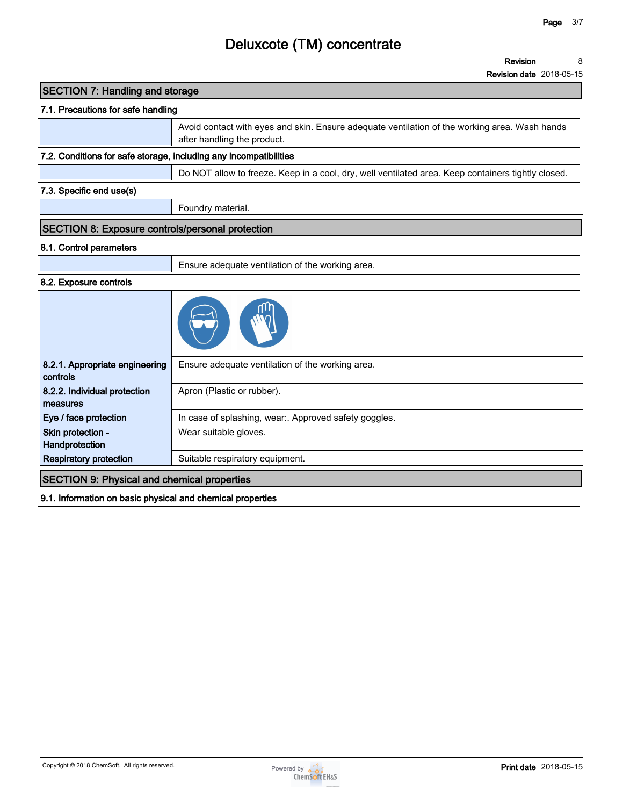**Revision 8**

**Revision date 2018-05-15**

| <b>SECTION 7: Handling and storage</b>                            |                                                                                                                              |
|-------------------------------------------------------------------|------------------------------------------------------------------------------------------------------------------------------|
| 7.1. Precautions for safe handling                                |                                                                                                                              |
|                                                                   | Avoid contact with eyes and skin. Ensure adequate ventilation of the working area. Wash hands<br>after handling the product. |
| 7.2. Conditions for safe storage, including any incompatibilities |                                                                                                                              |
|                                                                   | Do NOT allow to freeze. Keep in a cool, dry, well ventilated area. Keep containers tightly closed.                           |
| 7.3. Specific end use(s)                                          |                                                                                                                              |
|                                                                   | Foundry material.                                                                                                            |
| <b>SECTION 8: Exposure controls/personal protection</b>           |                                                                                                                              |
| 8.1. Control parameters                                           |                                                                                                                              |
|                                                                   | Ensure adequate ventilation of the working area.                                                                             |
| 8.2. Exposure controls                                            |                                                                                                                              |
|                                                                   |                                                                                                                              |
| 8.2.1. Appropriate engineering<br>controls                        | Ensure adequate ventilation of the working area.                                                                             |
| 8.2.2. Individual protection<br>measures                          | Apron (Plastic or rubber).                                                                                                   |
| Eye / face protection                                             | In case of splashing, wear:. Approved safety goggles.                                                                        |
| Skin protection -<br>Handprotection                               | Wear suitable gloves.                                                                                                        |
| <b>Respiratory protection</b>                                     | Suitable respiratory equipment.                                                                                              |
| <b>SECTION 9: Physical and chemical properties</b>                |                                                                                                                              |

**9.1. Information on basic physical and chemical properties**

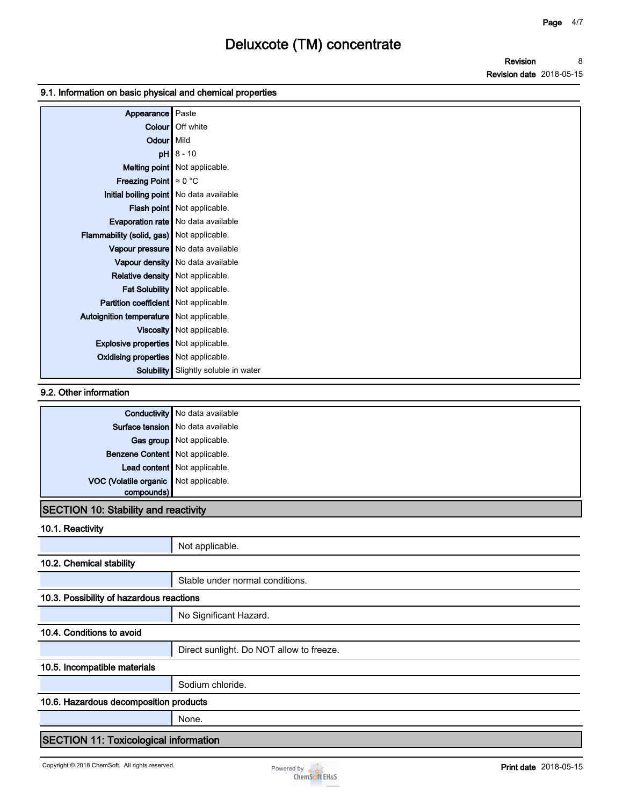**Revision Revision date 2018-05-15 8**

#### **9.1. Information on basic physical and chemical properties**

| Appearance                                  | Paste                                       |
|---------------------------------------------|---------------------------------------------|
|                                             | Colour   Off white                          |
| Odour Mild                                  |                                             |
|                                             | $pH$ 8 - 10                                 |
|                                             | Melting point Not applicable.               |
| Freezing Point $\approx 0^{\circ}$ C        |                                             |
| Initial boiling point No data available     |                                             |
|                                             | Flash point Not applicable.                 |
|                                             | Evaporation rate   No data available        |
| Flammability (solid, gas) Not applicable.   |                                             |
|                                             | Vapour pressure   No data available         |
|                                             | Vapour density   No data available          |
| Relative density Not applicable.            |                                             |
|                                             | Fat Solubility Not applicable.              |
| Partition coefficient Not applicable.       |                                             |
| Autoignition temperature   Not applicable.  |                                             |
|                                             | Viscosity Not applicable.                   |
| <b>Explosive properties</b> Not applicable. |                                             |
| <b>Oxidising properties</b> Not applicable. |                                             |
|                                             | <b>Solubility</b> Slightly soluble in water |

### **9.2. Other information**

|                                       | <b>Conductivity</b> No data available |
|---------------------------------------|---------------------------------------|
|                                       | Surface tension No data available     |
|                                       | Gas group Not applicable.             |
| Benzene Content Not applicable.       |                                       |
|                                       | Lead content Not applicable.          |
| VOC (Volatile organic Not applicable. |                                       |
| compounds)                            |                                       |

## **SECTION 10: Stability and reactivity**

**10.1. Reactivity**

|                                              | Not applicable.                          |  |  |
|----------------------------------------------|------------------------------------------|--|--|
| 10.2. Chemical stability                     |                                          |  |  |
|                                              | Stable under normal conditions.          |  |  |
| 10.3. Possibility of hazardous reactions     |                                          |  |  |
|                                              | No Significant Hazard.                   |  |  |
| 10.4. Conditions to avoid                    |                                          |  |  |
|                                              | Direct sunlight. Do NOT allow to freeze. |  |  |
| 10.5. Incompatible materials                 |                                          |  |  |
|                                              | Sodium chloride.                         |  |  |
| 10.6. Hazardous decomposition products       |                                          |  |  |
|                                              | None.                                    |  |  |
| <b>SECTION 11: Toxicological information</b> |                                          |  |  |

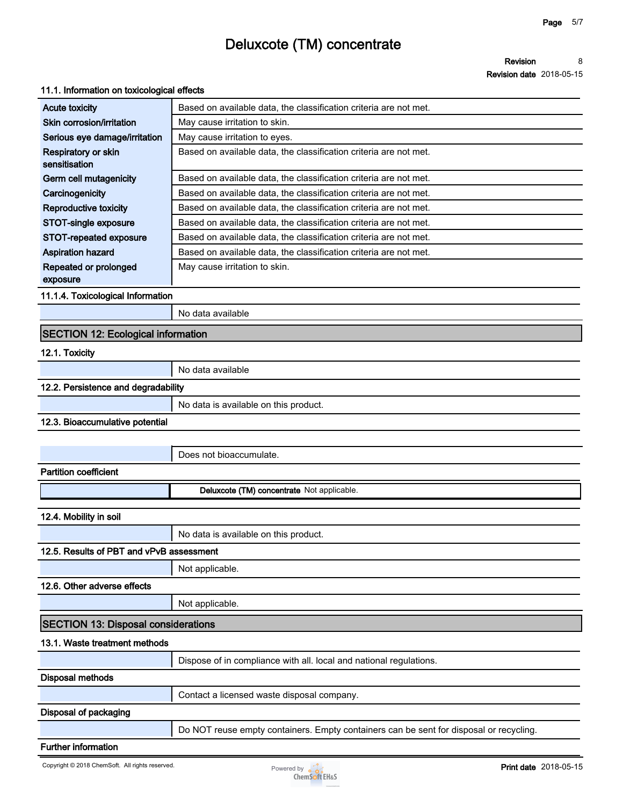#### **Revision 8**

**Revision date 2018-05-15**

#### **11.1. Information on toxicological effects**

| <b>Acute toxicity</b>                | Based on available data, the classification criteria are not met. |
|--------------------------------------|-------------------------------------------------------------------|
| Skin corrosion/irritation            | May cause irritation to skin.                                     |
| Serious eye damage/irritation        | May cause irritation to eyes.                                     |
| Respiratory or skin<br>sensitisation | Based on available data, the classification criteria are not met. |
| Germ cell mutagenicity               | Based on available data, the classification criteria are not met. |
| Carcinogenicity                      | Based on available data, the classification criteria are not met. |
| Reproductive toxicity                | Based on available data, the classification criteria are not met. |
| STOT-single exposure                 | Based on available data, the classification criteria are not met. |
| STOT-repeated exposure               | Based on available data, the classification criteria are not met. |
| <b>Aspiration hazard</b>             | Based on available data, the classification criteria are not met. |
| Repeated or prolonged<br>exposure    | May cause irritation to skin.                                     |

**11.1.4. Toxicological Information**

**No data available**

### **SECTION 12: Ecological information**

#### **12.1. Toxicity**

**No data available**

### **12.2. Persistence and degradability**

| No data is available on this product. |
|---------------------------------------|
|---------------------------------------|

#### **12.3. Bioaccumulative potential**

**Does not bioaccumulate.**

#### **Partition coefficient**

**Deluxcote (TM) concentrate Not applicable.**

#### **12.4. Mobility in soil**

**No data is available on this product. 12.5. Results of PBT and vPvB assessment**

**Not applicable.**

#### **12.6. Other adverse effects**

**Not applicable.**

### **SECTION 13: Disposal considerations**

### **13.1. Waste treatment methods**

|       | Dispose of in compliance with all. local and national regulations. |
|-------|--------------------------------------------------------------------|
| thade |                                                                    |

## **Disposal methods**

| Contact a licensed waste disposal company. |
|--------------------------------------------|
|--------------------------------------------|

#### **Disposal of packaging**

**Do NOT reuse empty containers. Empty containers can be sent for disposal or recycling.**

#### **Further information**

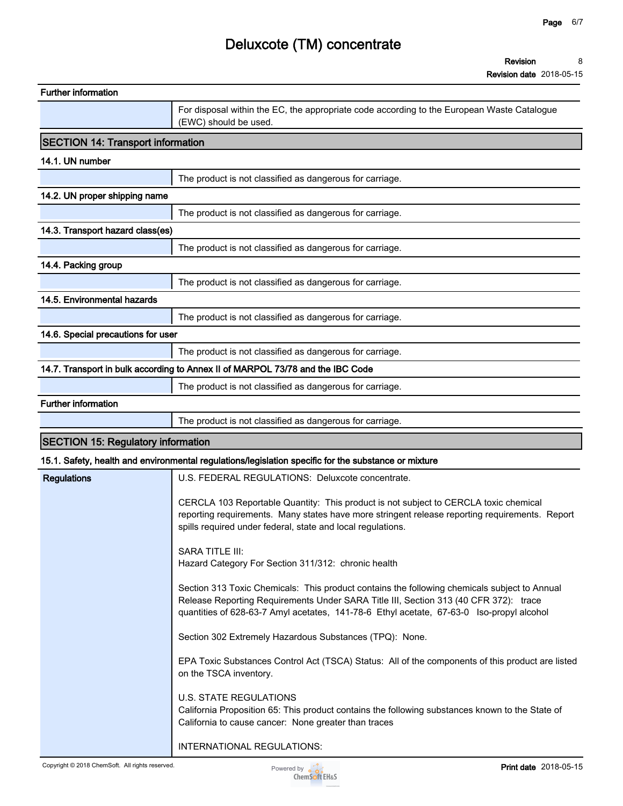**Revision date 2018-05-15**

| <b>Further information</b>                |                                                                                                                                                                                                                                                                                  |
|-------------------------------------------|----------------------------------------------------------------------------------------------------------------------------------------------------------------------------------------------------------------------------------------------------------------------------------|
|                                           | For disposal within the EC, the appropriate code according to the European Waste Catalogue<br>(EWC) should be used.                                                                                                                                                              |
| <b>SECTION 14: Transport information</b>  |                                                                                                                                                                                                                                                                                  |
| 14.1. UN number                           |                                                                                                                                                                                                                                                                                  |
|                                           | The product is not classified as dangerous for carriage.                                                                                                                                                                                                                         |
| 14.2. UN proper shipping name             |                                                                                                                                                                                                                                                                                  |
|                                           | The product is not classified as dangerous for carriage.                                                                                                                                                                                                                         |
| 14.3. Transport hazard class(es)          |                                                                                                                                                                                                                                                                                  |
|                                           | The product is not classified as dangerous for carriage.                                                                                                                                                                                                                         |
| 14.4. Packing group                       |                                                                                                                                                                                                                                                                                  |
|                                           | The product is not classified as dangerous for carriage.                                                                                                                                                                                                                         |
| 14.5. Environmental hazards               |                                                                                                                                                                                                                                                                                  |
|                                           | The product is not classified as dangerous for carriage.                                                                                                                                                                                                                         |
| 14.6. Special precautions for user        |                                                                                                                                                                                                                                                                                  |
|                                           | The product is not classified as dangerous for carriage.                                                                                                                                                                                                                         |
|                                           | 14.7. Transport in bulk according to Annex II of MARPOL 73/78 and the IBC Code                                                                                                                                                                                                   |
|                                           | The product is not classified as dangerous for carriage.                                                                                                                                                                                                                         |
| <b>Further information</b>                |                                                                                                                                                                                                                                                                                  |
|                                           | The product is not classified as dangerous for carriage.                                                                                                                                                                                                                         |
| <b>SECTION 15: Regulatory information</b> |                                                                                                                                                                                                                                                                                  |
|                                           | 15.1. Safety, health and environmental regulations/legislation specific for the substance or mixture                                                                                                                                                                             |
| <b>Regulations</b>                        | U.S. FEDERAL REGULATIONS: Deluxcote concentrate.                                                                                                                                                                                                                                 |
|                                           | CERCLA 103 Reportable Quantity: This product is not subject to CERCLA toxic chemical<br>reporting requirements. Many states have more stringent release reporting requirements. Report<br>spills required under federal, state and local regulations.                            |
|                                           | SARA TITLE III:<br>Hazard Category For Section 311/312: chronic health                                                                                                                                                                                                           |
|                                           | Section 313 Toxic Chemicals: This product contains the following chemicals subject to Annual<br>Release Reporting Requirements Under SARA Title III, Section 313 (40 CFR 372): trace<br>quantities of 628-63-7 Amyl acetates, 141-78-6 Ethyl acetate, 67-63-0 Iso-propyl alcohol |
|                                           | Section 302 Extremely Hazardous Substances (TPQ): None.                                                                                                                                                                                                                          |
|                                           | EPA Toxic Substances Control Act (TSCA) Status: All of the components of this product are listed<br>on the TSCA inventory.                                                                                                                                                       |
|                                           | <b>U.S. STATE REGULATIONS</b><br>California Proposition 65: This product contains the following substances known to the State of<br>California to cause cancer: None greater than traces                                                                                         |
|                                           | INTERNATIONAL REGULATIONS:                                                                                                                                                                                                                                                       |